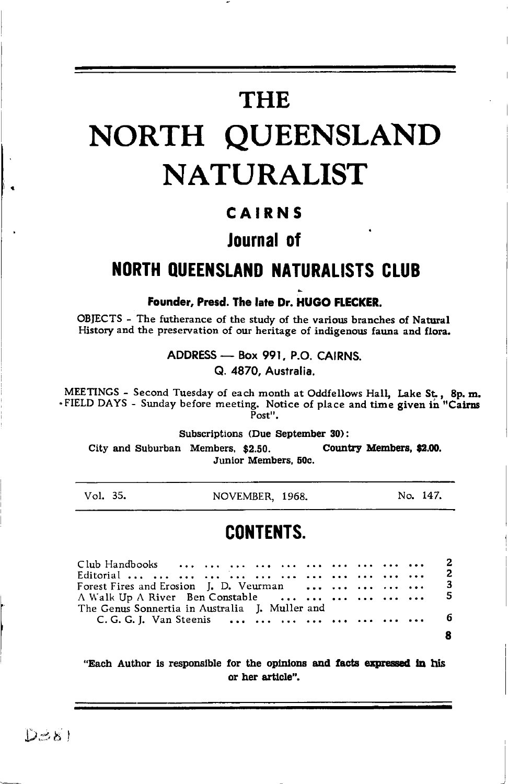# **THE**

# NORTH QUEENSLAND **NATURALIST**

### CAIRNS

### Journal of

### **NORTH QUEENSLAND NATURALISTS CLUB**

Founder, Presd. The late Dr. HUGO FLECKER.

OBJECTS - The futherance of the study of the various branches of Natural History and the preservation of our heritage of indigenous fauna and flora.

ADDRESS - Box 991, P.O. CAIRNS.

Q. 4870. Australia.

MEETINGS - Second Tuesday of each month at Oddfellows Hall, Lake St., 8p.m. . FIELD DAYS - Sunday before meeting. Notice of place and time given in "Cairns  $\bar{P}_{\text{ost}}$ ".

Subscriptions (Due September 30):

City and Suburban Members, \$2.50. Country Members, \$2.00. Junior Members, 50c.

Vol. 35.

NOVEMBER, 1968.

No. 147.

### **CONTENTS.**

| Forest Fires and Erosion J. D. Veurman      3    |  |
|--------------------------------------------------|--|
| A Walk Up A River Ben Constable       5          |  |
| The Genus Sonnertia in Australia - J. Muller and |  |
| C. G. G. J. Van Steenis         6                |  |
|                                                  |  |
|                                                  |  |

"Each Author is responsible for the opinions and facts expressed in his or her article".

 $D=81$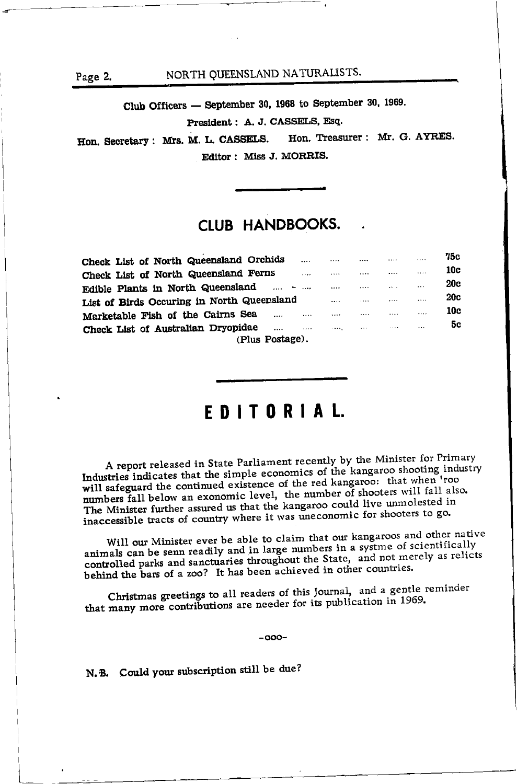Page 2.

#### NORTH QUEENSLAND NATURALISTS.

Club Officers - September 30, 1968 to September 30, 1969.

President: A. J. CASSELS, Esq.

Hon. Treasurer : Mr. G. AYRES. Hon. Secretary: Mrs. M. L. CASSELS. Editor: Miss J. MORRIS.

### **CLUB HANDBOOKS.**

| Check List of North Queensland Orchids     | $\cdots$ |              |                         |          | 1.1.1     | 75C |
|--------------------------------------------|----------|--------------|-------------------------|----------|-----------|-----|
| Check List of North Queensland Ferns       |          |              |                         |          |           | 10c |
| Edible Plants in North Queensland          |          |              |                         | $\cdots$ | $\ddotsc$ | 20c |
| List of Birds Occuring in North Queensland |          |              |                         |          |           | 20c |
| Marketable Fish of the Cairns Sea<br>      |          |              | .                       |          |           | 10c |
| Check List of Australian Dryopidae<br>     | $\cdots$ | <b>CARAL</b> | $\cdot$ $\cdot$ $\cdot$ | 1.1.1    | $\cdots$  | 5c  |
| (Plus Postage).                            |          |              |                         |          |           |     |

### EDITORIAL.

A report released in State Parliament recently by the Minister for Primary Industries indicates that the simple economics of the kangaroo shooting industry will safeguard the continued existence of the red kangaroo: that when 'roo numbers fall below an exonomic level, the number of shooters will fall also. The Minister further assured us that the kangaroo could live unmolested in inaccessible tracts of country where it was uneconomic for shooters to go.

Will our Minister ever be able to claim that our kangaroos and other native animals can be senn readily and in large numbers in a systme of scientifically controlled parks and sanctuaries throughout the State, and not merely as relicts behind the bars of a zoo? It has been achieved in other countries.

Christmas greetings to all readers of this Journal, and a gentle reminder that many more contributions are needer for its publication in 1969.

 $-000-$ 

N.B. Could your subscription still be due?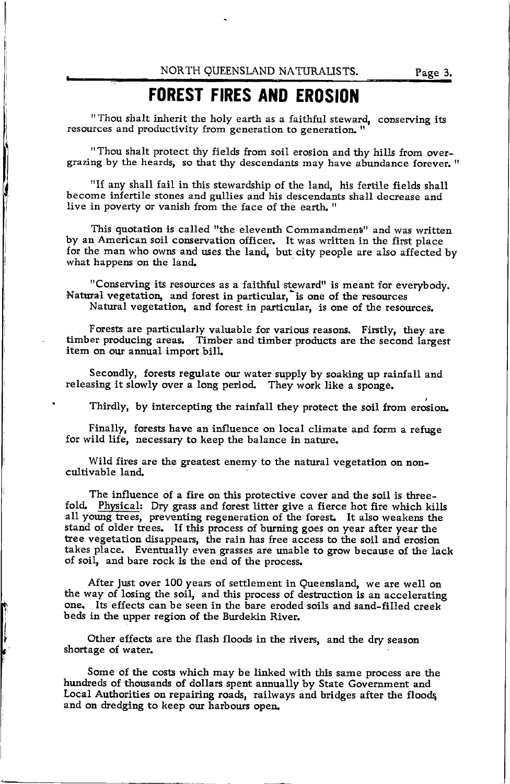## FOREST FIRES AND EROSION

"Thou shalt inherit the holy earth as a faithful steward, conserving its resources and productivity from generation to generation. "

"Thou shalt protect thy fields from soil erosion and thy hills from overgrazing by the heards, so that thy descendants may have abundance forever. "

"If any shall fail in this stewardship of the land, his fertile fields shall become infertile stones and gullies and his descendants shall decrease and live in poverty or vanish from the face of the earth. "

This quotation is called "the eleventh Commandment" and was written by an American soil conservation officer. It was written in the first place for the man who owns and uses the land, but city people are also affected by what happens on the land.

"Conserving its resources as a faithful steward" is meant for everybody. Natural vegetation, and forest in particular, is one of the resources Natural vegetation, and forest in particular, is one of the resources.

forests are particularly valuable for various reasons. Firstly, they are<br>timber producing areas. Timber and timber products are the second largest Forests are particularly valuable for various reasons. Firstly, they are item on our annual import bill

Secondly, forests regulate our water supply by soaking up rainfall and releasing it slowly over a long period. They work like a sponge.

Thirdly, by intercepting the rainfall they protect the soil from erosion

Finally, forests have an influence on local climate and form a refuge for wild life, necessary to keep the balance in nature.

Wild fires are the greatest enemy to the natural vegetation on noncultivable land.

The influence of a fire on this protective cover and the soil is three-<br>fold. Physical: Dry grass and forest litter give a fierce hot fire which kills<br>all young trees, preventing regeneration of the forest. It also weakens stand of older trees. If this process of burning goes on year after year the tree vegetation disappears, the rain has free access to the soil and erosion takes place. Eventually even grasses are unable to grow because of the lack of soil, and bare rock is the end of the process.

After just over 100 years of settlement in Queensland, we are well on the way of losing the soil, and this process of destruction is an accelerating one. Its effects can be seen in the bare eroded soils and sand-filled creekbeds in the upper region of the Burdekin River.

Other effects are the flash floods in the rivers, and the dry season shortage of water.

Some of the costs which may be linked with this same process are the hundreds of thousands of dollars spent annually by State Government and Local Authorities on repairing roads, railways and bridges after the floodq and on dredging to keep our harbours open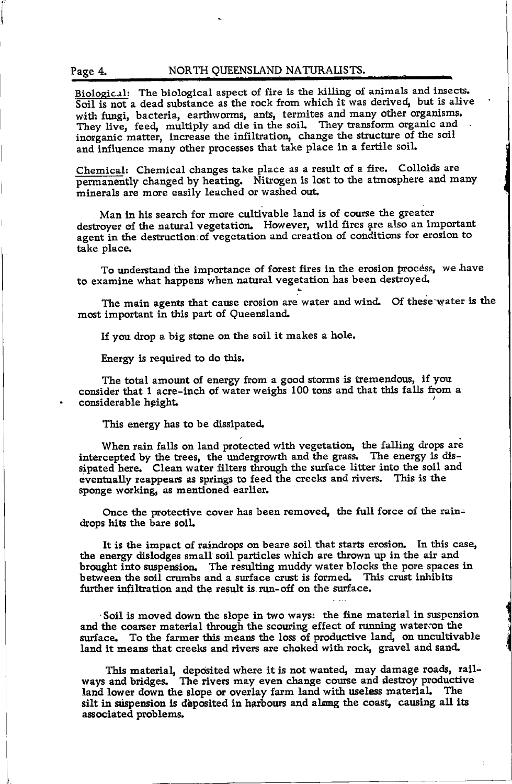#### Page 4. NORTH QUEENSLAND NATURALISTS.

Biological: The biological aspect of fire is the killing of animals and insects. Soil is not a dead substance as the rock from which it was derived, but is alive with fungi, bacteria, earthworms, ants, termites and many other organisms. They live, feed, multiply and die in the soil. They transform organic and inorganic matter, increase the infiltration, change the structure of the soil and influence many other processes that take place in a fertile soil.

Chemical: Chemical changes take place as a result of a fire. Colloids are permanently changed by heating. Nitrogen is lost to the atmosphere and many minerals are more easily leached or washed out

Man in his search for more cultivable land is of course the greater destroyer of the natural vegetation. However, wild fires are also an important agent in the destruction of vegetation and creation of conditions for erosion to take place.

To understand the importance of forest fires in the erosion process, we have to examine what happens when natural vegetation has been destroyed.

The main agents that cause erosion are water and wind. Of these water is the most important in this part of Queensland

If you drop a big stone ou the soil it makes a hole.

Energy is required to do this.

The total amount of energy from a good storms is tremendous, if you consider that 1 acre-inch of water weighs 100 tons and that this falls from a considerable height.

This energy has to be dissipated

When rain falls on land protected with vegetation, the falling drops are intercepted by the trees, the undergrowth and the grass. The energy is dissipated here. Clean water filters through the surface litter into the soil and eventually reappears as springs to feed the creeks and rivers. This is the sponge working, as mentioned earlier.

Once the protective cover has been removed, the full force of the raindrops hits the bare soll

It is the impact of raindrops on beare soil that starts erosion. In this case, the energy dislodges small soil particles which are thrown up in the air and brought into suspension. The resulting muddy water blocks the pore spaces in between the soil crumbs and a surface crust is formed. This crust inhibits further infiltration and the result is run-off on the surface.

'Soil is moved down the slope in two ways: the fine material in suspension and the coarser material through the scouring effect of running water; on the surface. To the farmer this means the loss of productive land, on uncultivable land it means that creeks and rivers are choked with rock, gravel and sand.

This material, deposited where it is not wanted, may damage roads, railways and bridges. The rivers may even change course and destroy productive land lower down the slope or overlay farm land with useless material. The silt in suspension is deposited in harbours and almng the coast, causing all its associated problems.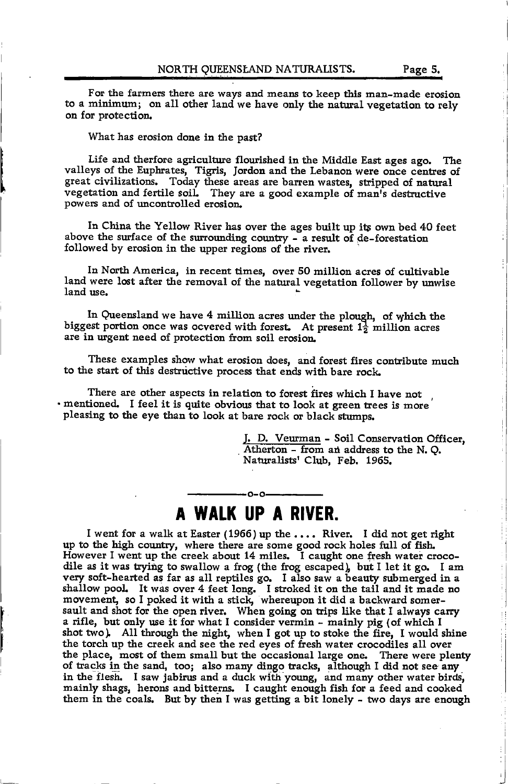For the farmers there are ways and means to keep this man-made erosion to a minimum; on all other land we have only the natural vegetation to rely on for protection.

What has erosion done in the past?

l

Life and therfore agriculture flourished in the Middle East ages ago. The valleys of the Euphrates, Tigris, Jordon and the Lebanon were once centres of great civilizations. Today these areas are barren wastes, stripped of natural vegetation and fertile soil. They are a good example of man's destructive powers and of uncontrolled erosion

In China the Yellow River has over the ages built up its own bed 40 feet above the surface of the surrounding country - a result of de-forestation followed by erosion in the upper regions of the river.

In Nortb America, in recent times, over 50 million acres of cultivable land were lost after the removal of the natural vegetation follower by unwise land use.

In Queensland we have 4 million acres under the plough, of which the biggest portion once was ocvered with forest. At present  $1\frac{1}{2}$  million acres are in urgent need of protection from soil erosion

These examples show what erosion does, and forest fires contribute much to the start of this destrictive process that ends with bare rock

There are other aspects in relation to forest fires which I have not . mentioned. I feel it is quite obvious that to look at green trees is more pleasing to the eye than to look at bare rock or black stumps.

> J. D. Veurman - Soil Conservation Officer, Atherton - from an address to the N.Q. Naturalists' Club, Feb. 1965.

### -0-0-A WALK UP A RIVER.

I went for a walk at Easter (1966) up the .... River. I did not get right up to the high country, where there are some good rock holes full of fish. However I went up the creek about  $14$  miles. I caught one fresh water crocodile as it was trying to swallow a frog (the frog escaped), but I let it go. I am very soft-hearted as far as all reptiles go. I also saw a beauty submerged in <sup>a</sup> shallow pool. It was over 4 feet long. I stroked it on the tail and it made no movement, so I poked it with a stick, whereupon it did a backward somersault and shot for the open river. When going on trips like that I always carry a rifle, but only use it for what I consider vermin - mainly pig (of which I shot two). All through the night, when I got up to stoke the fire, I would shine the torch up the creek and see the red eyes of fresh water crocodiles all over the place, most of them small but the occasional large one. There were plenty of tracks in the sand, too; also many dingo tracks, although I did not see any in the flesh. I saw jabirus and a duck with young, and many other water birds, mainly shags, herons and bitterns. I caught enough fish for a feed and cooked them in the coals. But by then I was getting a bit lonely - two days are enough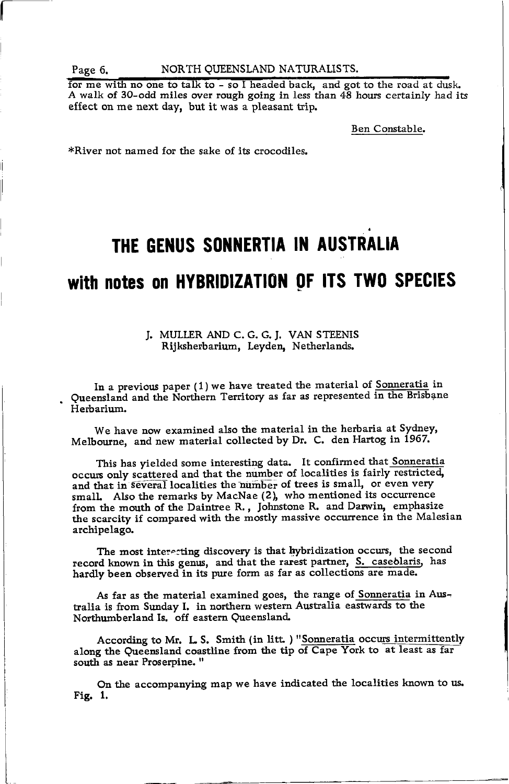#### Page 6. NORTH QUEENSLAND NATURALISTS.

A walk of 30-odd miles over rough going in less to effect on me next day, but it was a pleasant trip. for me with no one to talk to - so I headed back, and got to the road at dusk. A walk of 30-odd miles over rough going in less than  $48$  hours certainly had its

Ben Constable.

\*River not named for the sake of its crocodiles.

# THE GENUS SONNERTIA IN AUSTRALIA

## with notes on HYBRIDIZATION OF ITS TWO SPECIES

#### J. MULLER AND C. G. G. J. VAN STEENIS Rijksherbarium, Leydeq Netherlands.

In a previous paper  $(1)$  we have treated the material of Sonneratia in Queensland and the Northern Territory as far as represented in the Brisbane Herbarium.

We have now examined also the material in the herbaria at Sydney. Melbourne, and new material collected by Dr. C. den Hartog in  $1967$ .

This has yielded some interesting data. It confirmed that Sonneratia occurs only scattered and that the number of localities is fairly restricted. and that in several localities the number of trees is small, or even very small. Also the remarks by MacNae (2), who mentioned its occurrence from the mouth of the Daintree R., Johnstone R. and Darwin, emphasize the scarcity if compared with the mostly massive occurrence in the Malesian archipelago.

The most interecting discovery is that hybridization occurs, the second record known in this genus, and that the rarest partner, S. caseblaris, has hardly been observed in its pure form as far as collections are made.

As far as the material examined goes, the range of Sonneratia in Australia is from Sunday I. in northern western Australia eastwards to the Northumberland Is. off eastern Queensland.

According to Mr. L. S. Smith (in litt.) "Sonneratia occurs intermittently along the Queensland coastline from the tip of Cape York to at least as far south as near Proserpine."

On the accompanying map we have indicated the localities known to us. Fig. 1.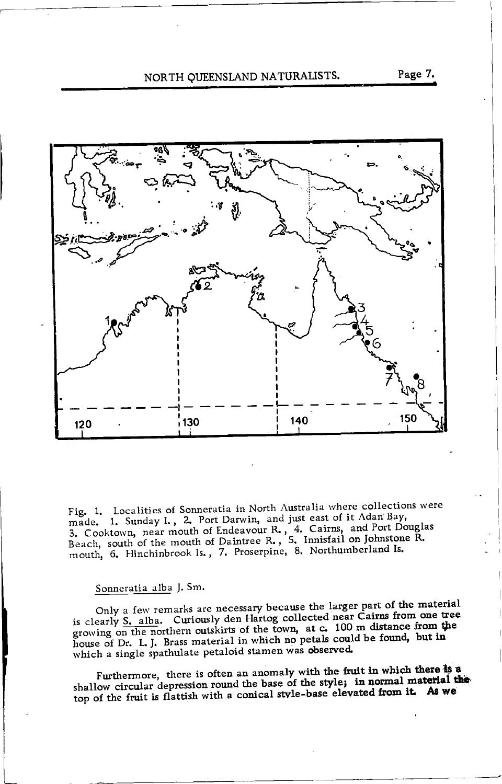#### NORTH QUEENSLAND NATURALISTS.



Fig. 1. Localities of Sonneratia in North Australia where collections were made. 1. Sunday I., 2. Port Darwin, and just east of it Adan Bay, 3. Cooktown, near mouth of Endeavour R., 4. Cairns, and Port Douglas Beach, south of the mouth of Daintree R., 5. Innisfail on Johnstone R. mouth, 6. Hinchinbrook Is., 7. Proserpine, 8. Northumberland Is.

#### Sonneratia alba J. Sm.

Only a few remarks are necessary because the larger part of the material is clearly S. alba. Curiously den Hartog collected near Cairns from one tree growing on the northern outskirts of the town, at c. 100 m distance from the house of Dr. L. J. Brass material in which no petals could be found, but in which a single spathulate petaloid stamen was observed.

Furthermore, there is often an anomaly with the fruit in which there is a shallow circular depression round the base of the style; in normal material the top of the fruit is flattish with a conical style-base elevated from it. As we

Page 7.